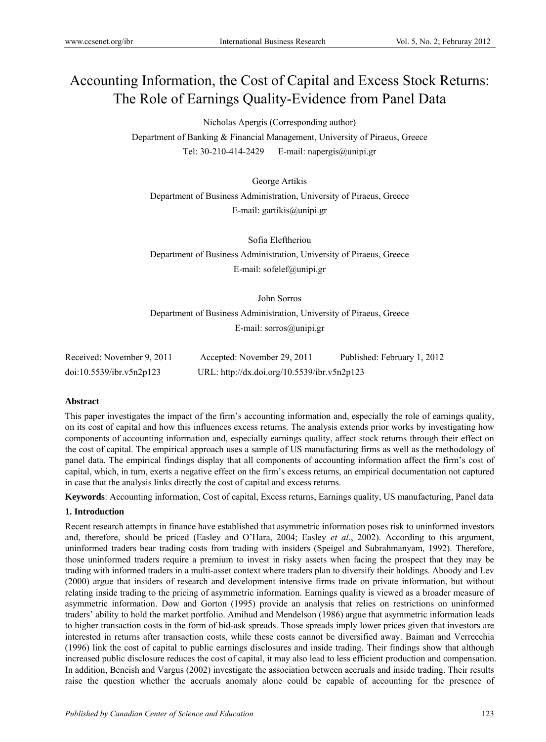# Accounting Information, the Cost of Capital and Excess Stock Returns: The Role of Earnings Quality-Evidence from Panel Data

Nicholas Apergis (Corresponding author)

Department of Banking & Financial Management, University of Piraeus, Greece Tel: 30-210-414-2429 E-mail: napergis@unipi.gr

George Artikis

Department of Business Administration, University of Piraeus, Greece E-mail: gartikis@unipi.gr

Sofia Eleftheriou Department of Business Administration, University of Piraeus, Greece E-mail: sofelef@unipi.gr

John Sorros

Department of Business Administration, University of Piraeus, Greece E-mail: sorros@unipi.gr

| Received: November 9, 2011 | Accepted: November 29, 2011                 | Published: February 1, 2012 |
|----------------------------|---------------------------------------------|-----------------------------|
| doi:10.5539/ibr.v5n2p123   | URL: http://dx.doi.org/10.5539/ibr.v5n2p123 |                             |

# **Abstract**

This paper investigates the impact of the firm's accounting information and, especially the role of earnings quality, on its cost of capital and how this influences excess returns. The analysis extends prior works by investigating how components of accounting information and, especially earnings quality, affect stock returns through their effect on the cost of capital. The empirical approach uses a sample of US manufacturing firms as well as the methodology of panel data. The empirical findings display that all components of accounting information affect the firm's cost of capital, which, in turn, exerts a negative effect on the firm's excess returns, an empirical documentation not captured in case that the analysis links directly the cost of capital and excess returns.

**Keywords**: Accounting information, Cost of capital, Excess returns, Earnings quality, US manufacturing, Panel data

# **1. Introduction**

Recent research attempts in finance have established that asymmetric information poses risk to uninformed investors and, therefore, should be priced (Easley and O'Hara, 2004; Easley *et al*., 2002). According to this argument, uninformed traders bear trading costs from trading with insiders (Speigel and Subrahmanyam, 1992). Therefore, those uninformed traders require a premium to invest in risky assets when facing the prospect that they may be trading with informed traders in a multi-asset context where traders plan to diversify their holdings. Aboody and Lev (2000) argue that insiders of research and development intensive firms trade on private information, but without relating inside trading to the pricing of asymmetric information. Earnings quality is viewed as a broader measure of asymmetric information. Dow and Gorton (1995) provide an analysis that relies on restrictions on uninformed traders' ability to hold the market portfolio. Amihud and Mendelson (1986) argue that asymmetric information leads to higher transaction costs in the form of bid-ask spreads. Those spreads imply lower prices given that investors are interested in returns after transaction costs, while these costs cannot be diversified away. Baiman and Verrecchia (1996) link the cost of capital to public earnings disclosures and inside trading. Their findings show that although increased public disclosure reduces the cost of capital, it may also lead to less efficient production and compensation. In addition, Beneish and Vargus (2002) investigate the association between accruals and inside trading. Their results raise the question whether the accruals anomaly alone could be capable of accounting for the presence of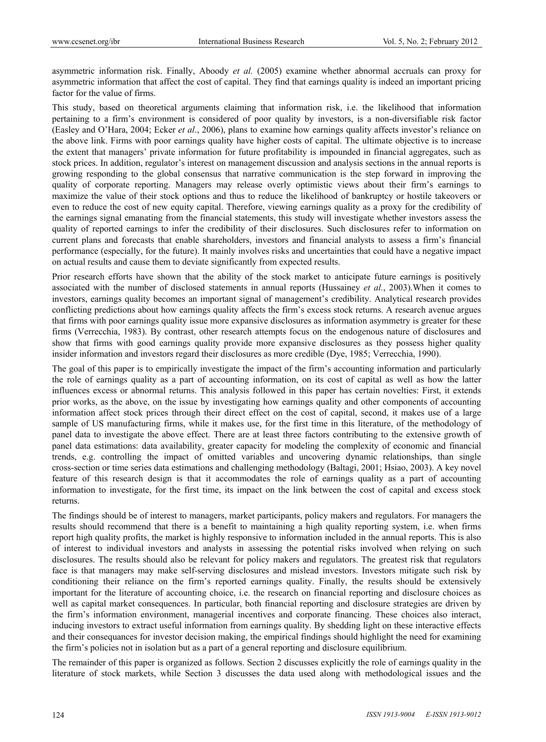asymmetric information risk. Finally, Aboody *et al.* (2005) examine whether abnormal accruals can proxy for asymmetric information that affect the cost of capital. They find that earnings quality is indeed an important pricing factor for the value of firms.

This study, based on theoretical arguments claiming that information risk, i.e. the likelihood that information pertaining to a firm's environment is considered of poor quality by investors, is a non-diversifiable risk factor (Easley and O'Hara, 2004; Ecker *et al*., 2006), plans to examine how earnings quality affects investor's reliance on the above link. Firms with poor earnings quality have higher costs of capital. The ultimate objective is to increase the extent that managers' private information for future profitability is impounded in financial aggregates, such as stock prices. In addition, regulator's interest on management discussion and analysis sections in the annual reports is growing responding to the global consensus that narrative communication is the step forward in improving the quality of corporate reporting. Managers may release overly optimistic views about their firm's earnings to maximize the value of their stock options and thus to reduce the likelihood of bankruptcy or hostile takeovers or even to reduce the cost of new equity capital. Therefore, viewing earnings quality as a proxy for the credibility of the earnings signal emanating from the financial statements, this study will investigate whether investors assess the quality of reported earnings to infer the credibility of their disclosures. Such disclosures refer to information on current plans and forecasts that enable shareholders, investors and financial analysts to assess a firm's financial performance (especially, for the future). It mainly involves risks and uncertainties that could have a negative impact on actual results and cause them to deviate significantly from expected results.

Prior research efforts have shown that the ability of the stock market to anticipate future earnings is positively associated with the number of disclosed statements in annual reports (Hussainey *et al.*, 2003).When it comes to investors, earnings quality becomes an important signal of management's credibility. Analytical research provides conflicting predictions about how earnings quality affects the firm's excess stock returns. A research avenue argues that firms with poor earnings quality issue more expansive disclosures as information asymmetry is greater for these firms (Verrecchia, 1983). By contrast, other research attempts focus on the endogenous nature of disclosures and show that firms with good earnings quality provide more expansive disclosures as they possess higher quality insider information and investors regard their disclosures as more credible (Dye, 1985; Verrecchia, 1990).

The goal of this paper is to empirically investigate the impact of the firm's accounting information and particularly the role of earnings quality as a part of accounting information, on its cost of capital as well as how the latter influences excess or abnormal returns. This analysis followed in this paper has certain novelties: First, it extends prior works, as the above, on the issue by investigating how earnings quality and other components of accounting information affect stock prices through their direct effect on the cost of capital, second, it makes use of a large sample of US manufacturing firms, while it makes use, for the first time in this literature, of the methodology of panel data to investigate the above effect. There are at least three factors contributing to the extensive growth of panel data estimations: data availability, greater capacity for modeling the complexity of economic and financial trends, e.g. controlling the impact of omitted variables and uncovering dynamic relationships, than single cross-section or time series data estimations and challenging methodology (Baltagi, 2001; Hsiao, 2003). A key novel feature of this research design is that it accommodates the role of earnings quality as a part of accounting information to investigate, for the first time, its impact on the link between the cost of capital and excess stock returns.

The findings should be of interest to managers, market participants, policy makers and regulators. For managers the results should recommend that there is a benefit to maintaining a high quality reporting system, i.e. when firms report high quality profits, the market is highly responsive to information included in the annual reports. This is also of interest to individual investors and analysts in assessing the potential risks involved when relying on such disclosures. The results should also be relevant for policy makers and regulators. The greatest risk that regulators face is that managers may make self-serving disclosures and mislead investors. Investors mitigate such risk by conditioning their reliance on the firm's reported earnings quality. Finally, the results should be extensively important for the literature of accounting choice, i.e. the research on financial reporting and disclosure choices as well as capital market consequences. In particular, both financial reporting and disclosure strategies are driven by the firm's information environment, managerial incentives and corporate financing. These choices also interact, inducing investors to extract useful information from earnings quality. By shedding light on these interactive effects and their consequances for investor decision making, the empirical findings should highlight the need for examining the firm's policies not in isolation but as a part of a general reporting and disclosure equilibrium.

The remainder of this paper is organized as follows. Section 2 discusses explicitly the role of earnings quality in the literature of stock markets, while Section 3 discusses the data used along with methodological issues and the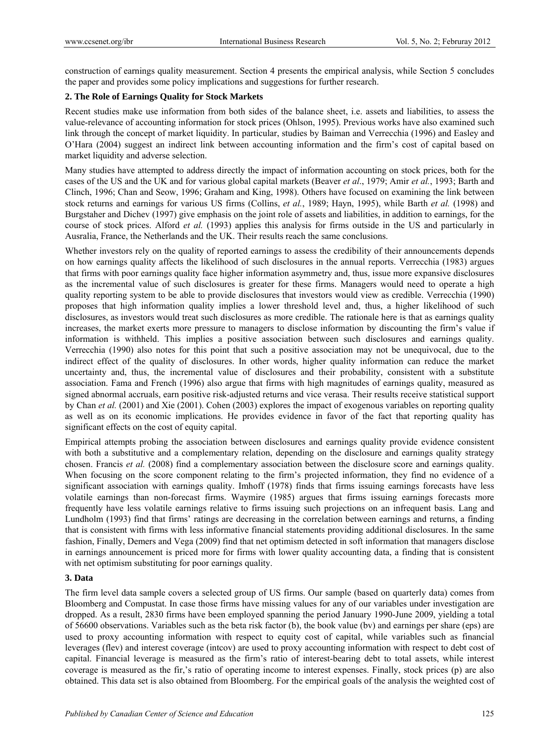construction of earnings quality measurement. Section 4 presents the empirical analysis, while Section 5 concludes the paper and provides some policy implications and suggestions for further research.

# **2. The Role of Earnings Quality for Stock Markets**

Recent studies make use information from both sides of the balance sheet, i.e. assets and liabilities, to assess the value-relevance of accounting information for stock prices (Ohlson, 1995). Previous works have also examined such link through the concept of market liquidity. In particular, studies by Baiman and Verrecchia (1996) and Easley and O'Hara (2004) suggest an indirect link between accounting information and the firm's cost of capital based on market liquidity and adverse selection.

Many studies have attempted to address directly the impact of information accounting on stock prices, both for the cases of the US and the UK and for various global capital markets (Beaver *et al*., 1979; Amir *et al.*, 1993; Barth and Clinch, 1996; Chan and Seow, 1996; Graham and King, 1998). Others have focused on examining the link between stock returns and earnings for various US firms (Collins, *et al.*, 1989; Hayn, 1995), while Barth *et al.* (1998) and Burgstaher and Dichev (1997) give emphasis on the joint role of assets and liabilities, in addition to earnings, for the course of stock prices. Alford *et al.* (1993) applies this analysis for firms outside in the US and particularly in Ausralia, France, the Netherlands and the UK. Their results reach the same conclusions.

Whether investors rely on the quality of reported earnings to assess the credibility of their announcements depends on how earnings quality affects the likelihood of such disclosures in the annual reports. Verrecchia (1983) argues that firms with poor earnings quality face higher information asymmetry and, thus, issue more expansive disclosures as the incremental value of such disclosures is greater for these firms. Managers would need to operate a high quality reporting system to be able to provide disclosures that investors would view as credible. Verrecchia (1990) proposes that high information quality implies a lower threshold level and, thus, a higher likelihood of such disclosures, as investors would treat such disclosures as more credible. The rationale here is that as earnings quality increases, the market exerts more pressure to managers to disclose information by discounting the firm's value if information is withheld. This implies a positive association between such disclosures and earnings quality. Verrecchia (1990) also notes for this point that such a positive association may not be unequivocal, due to the indirect effect of the quality of disclosures. In other words, higher quality information can reduce the market uncertainty and, thus, the incremental value of disclosures and their probability, consistent with a substitute association. Fama and French (1996) also argue that firms with high magnitudes of earnings quality, measured as signed abnormal accruals, earn positive risk-adjusted returns and vice verasa. Their results receive statistical support by Chan *et al.* (2001) and Xie (2001). Cohen (2003) explores the impact of exogenous variables on reporting quality as well as on its economic implications. He provides evidence in favor of the fact that reporting quality has significant effects on the cost of equity capital.

Empirical attempts probing the association between disclosures and earnings quality provide evidence consistent with both a substitutive and a complementary relation, depending on the disclosure and earnings quality strategy chosen. Francis *et al.* (2008) find a complementary association between the disclosure score and earnings quality. When focusing on the score component relating to the firm's projected information, they find no evidence of a significant association with earnings quality. Imhoff (1978) finds that firms issuing earnings forecasts have less volatile earnings than non-forecast firms. Waymire (1985) argues that firms issuing earnings forecasts more frequently have less volatile earnings relative to firms issuing such projections on an infrequent basis. Lang and Lundholm (1993) find that firms' ratings are decreasing in the correlation between earnings and returns, a finding that is consistent with firms with less informative financial statements providing additional disclosures. In the same fashion, Finally, Demers and Vega (2009) find that net optimism detected in soft information that managers disclose in earnings announcement is priced more for firms with lower quality accounting data, a finding that is consistent with net optimism substituting for poor earnings quality.

## **3. Data**

The firm level data sample covers a selected group of US firms. Our sample (based on quarterly data) comes from Bloomberg and Compustat. In case those firms have missing values for any of our variables under investigation are dropped. As a result, 2830 firms have been employed spanning the period January 1990-June 2009, yielding a total of 56600 observations. Variables such as the beta risk factor (b), the book value (bv) and earnings per share (eps) are used to proxy accounting information with respect to equity cost of capital, while variables such as financial leverages (flev) and interest coverage (intcov) are used to proxy accounting information with respect to debt cost of capital. Financial leverage is measured as the firm's ratio of interest-bearing debt to total assets, while interest coverage is measured as the fir,'s ratio of operating income to interest expenses. Finally, stock prices (p) are also obtained. This data set is also obtained from Bloomberg. For the empirical goals of the analysis the weighted cost of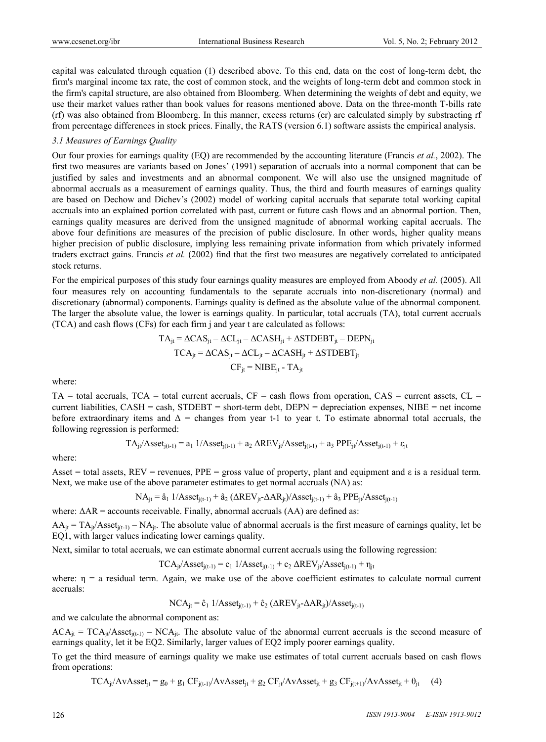capital was calculated through equation (1) described above. To this end, data on the cost of long-term debt, the firm's marginal income tax rate, the cost of common stock, and the weights of long-term debt and common stock in the firm's capital structure, are also obtained from Bloomberg. When determining the weights of debt and equity, we use their market values rather than book values for reasons mentioned above. Data on the three-month T-bills rate (rf) was also obtained from Bloomberg. In this manner, excess returns (er) are calculated simply by substracting rf from percentage differences in stock prices. Finally, the RATS (version 6.1) software assists the empirical analysis.

## *3.1 Measures of Earnings Quality*

Our four proxies for earnings quality (EQ) are recommended by the accounting literature (Francis *et al.*, 2002). The first two measures are variants based on Jones' (1991) separation of accruals into a normal component that can be justified by sales and investments and an abnormal component. We will also use the unsigned magnitude of abnormal accruals as a measurement of earnings quality. Thus, the third and fourth measures of earnings quality are based on Dechow and Dichev's (2002) model of working capital accruals that separate total working capital accruals into an explained portion correlated with past, current or future cash flows and an abnormal portion. Then, earnings quality measures are derived from the unsigned magnitude of abnormal working capital accruals. The above four definitions are measures of the precision of public disclosure. In other words, higher quality means higher precision of public disclosure, implying less remaining private information from which privately informed traders exctract gains. Francis *et al.* (2002) find that the first two measures are negatively correlated to anticipated stock returns.

For the empirical purposes of this study four earnings quality measures are employed from Aboody *et al.* (2005). All four measures rely on accounting fundamentals to the separate accruals into non-discretionary (normal) and discretionary (abnormal) components. Earnings quality is defined as the absolute value of the abnormal component. The larger the absolute value, the lower is earnings quality. In particular, total accruals (TA), total current accruals (TCA) and cash flows (CFs) for each firm j and year t are calculated as follows:

$$
TA_{jt} = \Delta CAS_{jt} - \Delta CL_{jt} - \Delta CASH_{jt} + \Delta STDEBT_{jt} - DEPN_{jt}
$$

$$
TCA_{jt} = \Delta CAS_{jt} - \Delta CL_{jt} - \Delta CASH_{jt} + \Delta STDEBT_{jt}
$$

$$
CF_{jt} = NIBE_{jt} - TA_{jt}
$$

where:

 $TA = total$  accruals,  $TCA = total$  current accruals,  $CF = cash$  flows from operation,  $CAS = current$  assets,  $CL =$ current liabilities, CASH = cash, STDEBT = short-term debt, DEPN = depreciation expenses, NIBE = net income before extraordinary items and  $\Delta$  = changes from year t-1 to year t. To estimate abnormal total accruals, the following regression is performed:

$$
TA_{jt}/A \, \text{sset}_{j(t-1)} = a_1 \, 1/A \, \text{sset}_{j(t-1)} + a_2 \, \Delta REV_{jt}/A \, \text{sset}_{j(t-1)} + a_3 \, PPE_{jt}/A \, \text{sset}_{j(t-1)} + \epsilon_{jt}
$$

where:

Asset = total assets, REV = revenues, PPE = gross value of property, plant and equipment and  $\varepsilon$  is a residual term. Next, we make use of the above parameter estimates to get normal accruals (NA) as:

$$
NA_{jt} = \hat{a}_1 \frac{1}{Asset_{j(t-1)} + \hat{a}_2} \frac{(\Delta REV_{jt} - \Delta AR_{jt})}{ASset_{j(t-1)} + \hat{a}_3 PPE_{jt}} / Asset_{j(t-1)}
$$

where:  $\Delta AR =$  accounts receivable. Finally, abnormal accruals  $(AA)$  are defined as:

 $AA_{it} = TA_{it}/A\text{sset}_{it-1} - NA_{it}$ . The absolute value of abnormal accruals is the first measure of earnings quality, let be EQ1, with larger values indicating lower earnings quality.

Next, similar to total accruals, we can estimate abnormal current accruals using the following regression:

 $TCA_{it}/A\text{sset}_{i(t-1)} = c_1 1/A\text{sset}_{i(t-1)} + c_2 \Delta REV_{it}/A\text{sset}_{i(t-1)} + \eta_{it}$ 

where:  $\eta$  = a residual term. Again, we make use of the above coefficient estimates to calculate normal current accruals:

$$
NCA_{jt} = \hat{c}_1 \ 1/Asset_{j(t-1)} + \hat{c}_2 \ (\Delta REV_{jt} - \Delta AR_{jt})/Asset_{j(t-1)}
$$

and we calculate the abnormal component as:

 $ACA_{it} = TCA_{it}/A\text{sset}_{it-1} - NCA_{it}$ . The absolute value of the abnormal current accruals is the second measure of earnings quality, let it be EQ2. Similarly, larger values of EQ2 imply poorer earnings quality.

To get the third measure of earnings quality we make use estimates of total current accruals based on cash flows from operations:

$$
TCA_{it}/AvAsset_{it} = g_0 + g_1 CF_{i(t-1)}/AvAsset_{it} + g_2 CF_{it}/Av Asset_{it} + g_3 CF_{i(t+1)}/Av Asset_{it} + \theta_{it} \tag{4}
$$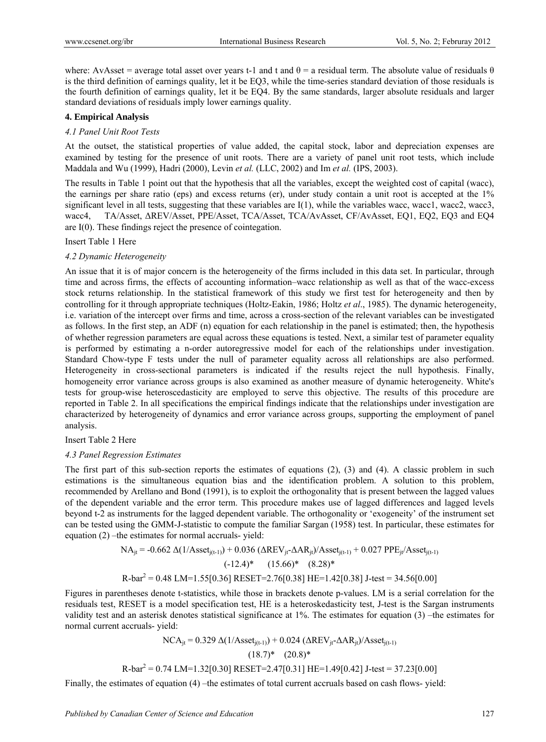where: AvAsset = average total asset over years t-1 and t and  $\theta$  = a residual term. The absolute value of residuals  $\theta$ is the third definition of earnings quality, let it be EQ3, while the time-series standard deviation of those residuals is the fourth definition of earnings quality, let it be EQ4. By the same standards, larger absolute residuals and larger standard deviations of residuals imply lower earnings quality.

## **4. Empirical Analysis**

# *4.1 Panel Unit Root Tests*

At the outset, the statistical properties of value added, the capital stock, labor and depreciation expenses are examined by testing for the presence of unit roots. There are a variety of panel unit root tests, which include Maddala and Wu (1999), Hadri (2000), Levin *et al.* (LLC, 2002) and Im *et al.* (IPS, 2003).

The results in Table 1 point out that the hypothesis that all the variables, except the weighted cost of capital (wacc), the earnings per share ratio (eps) and excess returns (er), under study contain a unit root is accepted at the 1% significant level in all tests, suggesting that these variables are  $I(1)$ , while the variables wacc, wacc1, wacc2, wacc3, wacc4, TA/Asset, ΔREV/Asset, PPE/Asset, TCA/Asset, TCA/AvAsset, CF/AvAsset, EQ1, EQ2, EQ3 and EQ4 are I(0). These findings reject the presence of cointegation.

## Insert Table 1 Here

## *4.2 Dynamic Heterogeneity*

An issue that it is of major concern is the heterogeneity of the firms included in this data set. In particular, through time and across firms, the effects of accounting information–wacc relationship as well as that of the wacc-excess stock returns relationship. In the statistical framework of this study we first test for heterogeneity and then by controlling for it through appropriate techniques (Holtz-Eakin, 1986; Holtz *et al*., 1985). The dynamic heterogeneity, i.e. variation of the intercept over firms and time, across a cross-section of the relevant variables can be investigated as follows. In the first step, an ADF (n) equation for each relationship in the panel is estimated; then, the hypothesis of whether regression parameters are equal across these equations is tested. Next, a similar test of parameter equality is performed by estimating a n-order autoregressive model for each of the relationships under investigation. Standard Chow-type F tests under the null of parameter equality across all relationships are also performed. Heterogeneity in cross-sectional parameters is indicated if the results reject the null hypothesis. Finally, homogeneity error variance across groups is also examined as another measure of dynamic heterogeneity. White's tests for group-wise heteroscedasticity are employed to serve this objective. The results of this procedure are reported in Table 2. In all specifications the empirical findings indicate that the relationships under investigation are characterized by heterogeneity of dynamics and error variance across groups, supporting the employment of panel analysis.

#### Insert Table 2 Here

#### *4.3 Panel Regression Estimates*

The first part of this sub-section reports the estimates of equations (2), (3) and (4). A classic problem in such estimations is the simultaneous equation bias and the identification problem. A solution to this problem, recommended by Arellano and Bond (1991), is to exploit the orthogonality that is present between the lagged values of the dependent variable and the error term. This procedure makes use of lagged differences and lagged levels beyond t-2 as instruments for the lagged dependent variable. The orthogonality or 'exogeneity' of the instrument set can be tested using the GMM-J-statistic to compute the familiar Sargan (1958) test. In particular, these estimates for equation (2) –the estimates for normal accruals- yield:

$$
NA_{jt} = -0.662 \Delta(1/asset_{j(t-1)}) + 0.036 (\Delta REV_{jt}\DeltaAR_{jt})/Asset_{j(t-1)} + 0.027 PPE_{jt}/ Asset_{j(t-1)}
$$
  
\n
$$
(-12.4)^* \qquad (15.66)^* \qquad (8.28)^*
$$
\n
$$
R-bar^2 = 0.48 LM=1.55[0.36] RESET=2.76[0.38] HE=1.42[0.38] J-test = 34.56[0.00]
$$

Figures in parentheses denote t-statistics, while those in brackets denote p-values. LM is a serial correlation for the residuals test, RESET is a model specification test, HE is a heteroskedasticity test, J-test is the Sargan instruments validity test and an asterisk denotes statistical significance at 1%. The estimates for equation (3) –the estimates for normal current accruals- yield:

$$
NCA_{jt} = 0.329 \Delta(1/ Asset_{j(t-1)}) + 0.024 (\Delta REV_{jt} - \Delta AR_{jt})/ Asset_{j(t-1)}
$$
  
(18.7)\* (20.8)\*  
R-bar<sup>2</sup> = 0.74 LM=1.32[0.30] REST=2.47[0.31] HE=1.49[0.42] J-test = 37.23[0.00]

Finally, the estimates of equation (4) –the estimates of total current accruals based on cash flows- yield: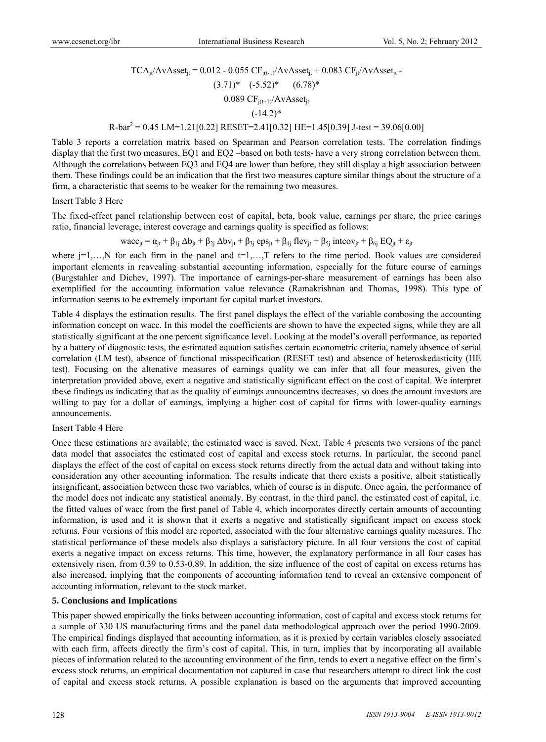$$
TCA_{jl}/AvAsset_{jt} = 0.012 - 0.055 CF_{j(t-1)}/Av Asset_{jt} + 0.083 CF_{jt}/Av Asset_{jt} - (3.71)^{*} \quad (-5.52)^{*} \quad (6.78)^{*}
$$

$$
0.089 CF_{i(t+1)}/AvAsset_{it}
$$

$$
(-14.2)^*
$$

# $R$ -bar<sup>2</sup> = 0.45 LM=1.21[0.22]  $RESET = 2.41[0.32]$  HE=1.45[0.39] J-test = 39.06[0.00]

Table 3 reports a correlation matrix based on Spearman and Pearson correlation tests. The correlation findings display that the first two measures, EQ1 and EQ2 –based on both tests- have a very strong correlation between them. Although the correlations between EQ3 and EQ4 are lower than before, they still display a high association between them. These findings could be an indication that the first two measures capture similar things about the structure of a firm, a characteristic that seems to be weaker for the remaining two measures.

## Insert Table 3 Here

The fixed-effect panel relationship between cost of capital, beta, book value, earnings per share, the price earings ratio, financial leverage, interest coverage and earnings quality is specified as follows:

 $wacc_{it} = \alpha_{it} + \beta_{1i} \Delta b_{it} + \beta_{2i} \Delta b v_{it} + \beta_{3i} \epsilon p s_{it} + \beta_{4i} \text{flev}_{it} + \beta_{5i} \text{intcov}_{it} + \beta_{6i} \text{EQ}_{it} + \epsilon_{it}$ 

where  $j=1,...,N$  for each firm in the panel and  $t=1,...,T$  refers to the time period. Book values are considered important elements in reavealing substantial accounting information, especially for the future course of earnings (Burgstahler and Dichev, 1997). The importance of earnings-per-share measurement of earnings has been also exemplified for the accounting information value relevance (Ramakrishnan and Thomas, 1998). This type of information seems to be extremely important for capital market investors.

Table 4 displays the estimation results. The first panel displays the effect of the variable combosing the accounting information concept on wacc. In this model the coefficients are shown to have the expected signs, while they are all statistically significant at the one percent significance level. Looking at the model's overall performance, as reported by a battery of diagnostic tests, the estimated equation satisfies certain econometric criteria, namely absence of serial correlation (LM test), absence of functional misspecification (RESET test) and absence of heteroskedasticity (HE test). Focusing on the altenative measures of earnings quality we can infer that all four measures, given the interpretation provided above, exert a negative and statistically significant effect on the cost of capital. We interpret these findings as indicating that as the quality of earnings announcemtns decreases, so does the amount investors are willing to pay for a dollar of earnings, implying a higher cost of capital for firms with lower-quality earnings announcements.

## Insert Table 4 Here

Once these estimations are available, the estimated wacc is saved. Next, Table 4 presents two versions of the panel data model that associates the estimated cost of capital and excess stock returns. In particular, the second panel displays the effect of the cost of capital on excess stock returns directly from the actual data and without taking into consideration any other accounting information. The results indicate that there exists a positive, albeit statistically insignificant, association between these two variables, which of course is in dispute. Once again, the performance of the model does not indicate any statistical anomaly. By contrast, in the third panel, the estimated cost of capital, i.e. the fitted values of wacc from the first panel of Table 4, which incorporates directly certain amounts of accounting information, is used and it is shown that it exerts a negative and statistically significant impact on excess stock returns. Four versions of this model are reported, associated with the four alternative earnings quality measures. The statistical performance of these models also displays a satisfactory picture. In all four versions the cost of capital exerts a negative impact on excess returns. This time, however, the explanatory performance in all four cases has extensively risen, from 0.39 to 0.53-0.89. In addition, the size influence of the cost of capital on excess returns has also increased, implying that the components of accounting information tend to reveal an extensive component of accounting information, relevant to the stock market.

## **5. Conclusions and Implications**

This paper showed empirically the links between accounting information, cost of capital and excess stock returns for a sample of 330 US manufacturing firms and the panel data methodological approach over the period 1990-2009. The empirical findings displayed that accounting information, as it is proxied by certain variables closely associated with each firm, affects directly the firm's cost of capital. This, in turn, implies that by incorporating all available pieces of information related to the accounting environment of the firm, tends to exert a negative effect on the firm's excess stock returns, an empirical documentation not captured in case that researchers attempt to direct link the cost of capital and excess stock returns. A possible explanation is based on the arguments that improved accounting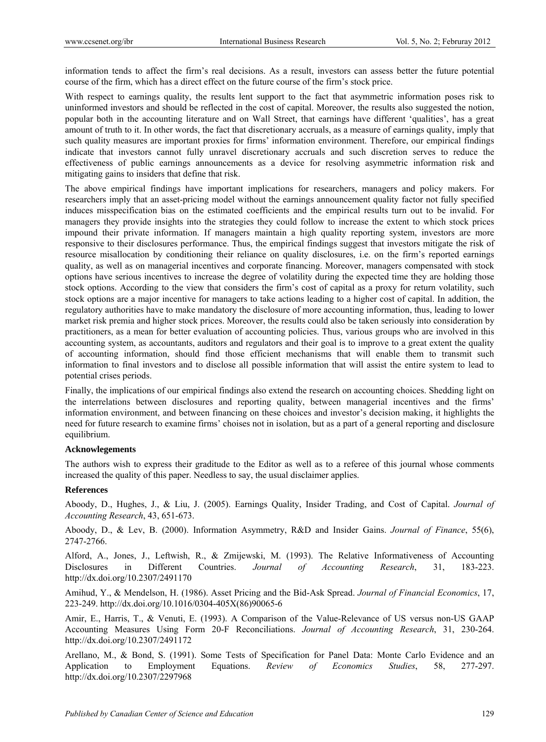information tends to affect the firm's real decisions. As a result, investors can assess better the future potential course of the firm, which has a direct effect on the future course of the firm's stock price.

With respect to earnings quality, the results lent support to the fact that asymmetric information poses risk to uninformed investors and should be reflected in the cost of capital. Moreover, the results also suggested the notion, popular both in the accounting literature and on Wall Street, that earnings have different 'qualities', has a great amount of truth to it. In other words, the fact that discretionary accruals, as a measure of earnings quality, imply that such quality measures are important proxies for firms' information environment. Therefore, our empirical findings indicate that investors cannot fully unravel discretionary accruals and such discretion serves to reduce the effectiveness of public earnings announcements as a device for resolving asymmetric information risk and mitigating gains to insiders that define that risk.

The above empirical findings have important implications for researchers, managers and policy makers. For researchers imply that an asset-pricing model without the earnings announcement quality factor not fully specified induces misspecification bias on the estimated coefficients and the empirical results turn out to be invalid. For managers they provide insights into the strategies they could follow to increase the extent to which stock prices impound their private information. If managers maintain a high quality reporting system, investors are more responsive to their disclosures performance. Thus, the empirical findings suggest that investors mitigate the risk of resource misallocation by conditioning their reliance on quality disclosures, i.e. on the firm's reported earnings quality, as well as on managerial incentives and corporate financing. Moreover, managers compensated with stock options have serious incentives to increase the degree of volatility during the expected time they are holding those stock options. According to the view that considers the firm's cost of capital as a proxy for return volatility, such stock options are a major incentive for managers to take actions leading to a higher cost of capital. In addition, the regulatory authorities have to make mandatory the disclosure of more accounting information, thus, leading to lower market risk premia and higher stock prices. Moreover, the results could also be taken seriously into consideration by practitioners, as a mean for better evaluation of accounting policies. Thus, various groups who are involved in this accounting system, as accountants, auditors and regulators and their goal is to improve to a great extent the quality of accounting information, should find those efficient mechanisms that will enable them to transmit such information to final investors and to disclose all possible information that will assist the entire system to lead to potential crises periods.

Finally, the implications of our empirical findings also extend the research on accounting choices. Shedding light on the interrelations between disclosures and reporting quality, between managerial incentives and the firms' information environment, and between financing on these choices and investor's decision making, it highlights the need for future research to examine firms' choises not in isolation, but as a part of a general reporting and disclosure equilibrium.

## **Acknowlegements**

The authors wish to express their graditude to the Editor as well as to a referee of this journal whose comments increased the quality of this paper. Needless to say, the usual disclaimer applies.

## **References**

Aboody, D., Hughes, J., & Liu, J. (2005). Earnings Quality, Insider Trading, and Cost of Capital. *Journal of Accounting Research*, 43, 651-673.

Aboody, D., & Lev, B. (2000). Information Asymmetry, R&D and Insider Gains. *Journal of Finance*, 55(6), 2747-2766.

Alford, A., Jones, J., Leftwish, R., & Zmijewski, M. (1993). The Relative Informativeness of Accounting Disclosures in Different Countries. *Journal of Accounting Research*, 31, 183-223. http://dx.doi.org/10.2307/2491170

Amihud, Y., & Mendelson, H. (1986). Asset Pricing and the Bid-Ask Spread. *Journal of Financial Economics*, 17, 223-249. http://dx.doi.org/10.1016/0304-405X(86)90065-6

Amir, E., Harris, T., & Venuti, E. (1993). A Comparison of the Value-Relevance of US versus non-US GAAP Accounting Measures Using Form 20-F Reconciliations. *Journal of Accounting Research*, 31, 230-264. http://dx.doi.org/10.2307/2491172

Arellano, M., & Bond, S. (1991). Some Tests of Specification for Panel Data: Monte Carlo Evidence and an Application to Employment Equations. *Review of Economics Studies*, 58, 277-297. http://dx.doi.org/10.2307/2297968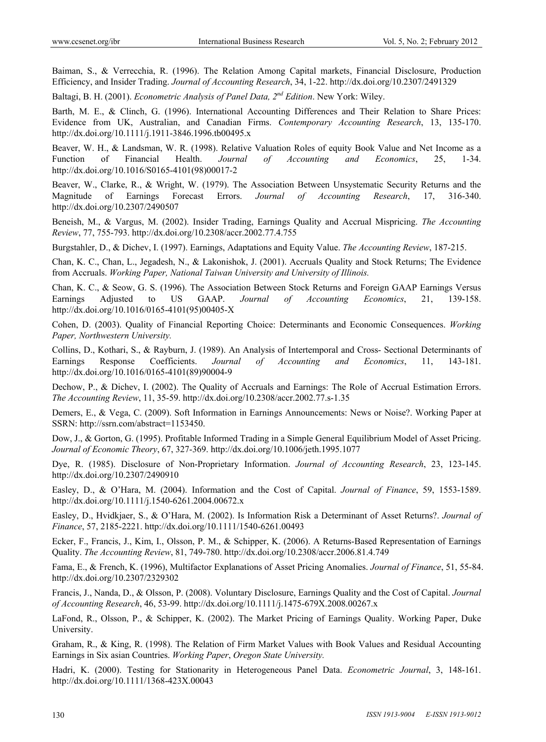Baiman, S., & Verrecchia, R. (1996). The Relation Among Capital markets, Financial Disclosure, Production Efficiency, and Insider Trading. *Journal of Accounting Research*, 34, 1-22. http://dx.doi.org/10.2307/2491329

Baltagi, B. H. (2001). *Econometric Analysis of Panel Data, 2nd Edition*. New York: Wiley.

Barth, M. E., & Clinch, G. (1996). International Accounting Differences and Their Relation to Share Prices: Evidence from UK, Australian, and Canadian Firms. *Contemporary Accounting Research*, 13, 135-170. http://dx.doi.org/10.1111/j.1911-3846.1996.tb00495.x

Beaver, W. H., & Landsman, W. R. (1998). Relative Valuation Roles of equity Book Value and Net Income as a Function of Financial Health. *Journal of Accounting and Economics*, 25, 1-34. http://dx.doi.org/10.1016/S0165-4101(98)00017-2

Beaver, W., Clarke, R., & Wright, W. (1979). The Association Between Unsystematic Security Returns and the Magnitude of Earnings Forecast Errors. *Journal of Accounting Research*, 17, 316-340. http://dx.doi.org/10.2307/2490507

Beneish, M., & Vargus, M. (2002). Insider Trading, Earnings Quality and Accrual Mispricing. *The Accounting Review*, 77, 755-793. http://dx.doi.org/10.2308/accr.2002.77.4.755

Burgstahler, D., & Dichev, I. (1997). Earnings, Adaptations and Equity Value. *The Accounting Review*, 187-215.

Chan, K. C., Chan, L., Jegadesh, N., & Lakonishok, J. (2001). Accruals Quality and Stock Returns; The Evidence from Accruals. *Working Paper, National Taiwan University and University of Illinois.* 

Chan, K. C., & Seow, G. S. (1996). The Association Between Stock Returns and Foreign GAAP Earnings Versus Earnings Adjusted to US GAAP. *Journal of Accounting Economics*, 21, 139-158. http://dx.doi.org/10.1016/0165-4101(95)00405-X

Cohen, D. (2003). Quality of Financial Reporting Choice: Determinants and Economic Consequences. *Working Paper, Northwestern University.* 

Collins, D., Kothari, S., & Rayburn, J. (1989). An Analysis of Intertemporal and Cross- Sectional Determinants of Earnings Response Coefficients. *Journal of Accounting and Economics*, 11, 143-181. http://dx.doi.org/10.1016/0165-4101(89)90004-9

Dechow, P., & Dichev, I. (2002). The Quality of Accruals and Earnings: The Role of Accrual Estimation Errors. *The Accounting Review*, 11, 35-59. http://dx.doi.org/10.2308/accr.2002.77.s-1.35

Demers, E., & Vega, C. (2009). Soft Information in Earnings Announcements: News or Noise?. Working Paper at SSRN: http://ssrn.com/abstract=1153450.

Dow, J., & Gorton, G. (1995). Profitable Informed Trading in a Simple General Equilibrium Model of Asset Pricing. *Journal of Economic Theory*, 67, 327-369. http://dx.doi.org/10.1006/jeth.1995.1077

Dye, R. (1985). Disclosure of Non-Proprietary Information. *Journal of Accounting Research*, 23, 123-145. http://dx.doi.org/10.2307/2490910

Easley, D., & O'Hara, M. (2004). Information and the Cost of Capital. *Journal of Finance*, 59, 1553-1589. http://dx.doi.org/10.1111/j.1540-6261.2004.00672.x

Easley, D., Hvidkjaer, S., & O'Hara, M. (2002). Is Information Risk a Determinant of Asset Returns?. *Journal of Finance*, 57, 2185-2221. http://dx.doi.org/10.1111/1540-6261.00493

Ecker, F., Francis, J., Kim, I., Olsson, P. M., & Schipper, K. (2006). A Returns-Based Representation of Earnings Quality. *The Accounting Review*, 81, 749-780. http://dx.doi.org/10.2308/accr.2006.81.4.749

Fama, E., & French, K. (1996), Multifactor Explanations of Asset Pricing Anomalies. *Journal of Finance*, 51, 55-84. http://dx.doi.org/10.2307/2329302

Francis, J., Nanda, D., & Olsson, P. (2008). Voluntary Disclosure, Earnings Quality and the Cost of Capital. *Journal of Accounting Research*, 46, 53-99. http://dx.doi.org/10.1111/j.1475-679X.2008.00267.x

LaFond, R., Olsson, P., & Schipper, K. (2002). The Market Pricing of Earnings Quality. Working Paper, Duke University.

Graham, R., & King, R. (1998). The Relation of Firm Market Values with Book Values and Residual Accounting Earnings in Six asian Countries. *Working Paper*, *Oregon State University.* 

Hadri, K. (2000). Testing for Stationarity in Heterogeneous Panel Data. *Econometric Journal*, 3, 148-161. http://dx.doi.org/10.1111/1368-423X.00043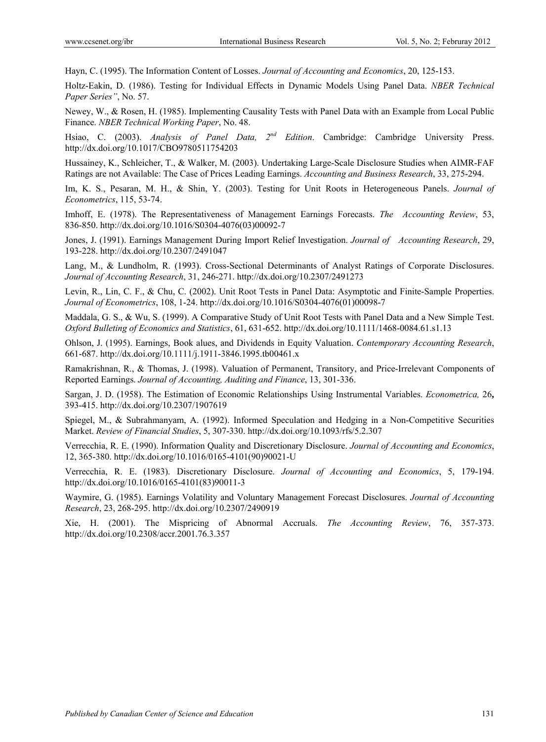Hayn, C. (1995). The Information Content of Losses. *Journal of Accounting and Economics*, 20, 125-153.

Holtz-Eakin, D. (1986). Testing for Individual Effects in Dynamic Models Using Panel Data. *NBER Technical Paper Series"*, No. 57.

Newey, W., & Rosen, H. (1985). Implementing Causality Tests with Panel Data with an Example from Local Public Finance. *NBER Technical Working Paper*, No. 48.

Hsiao, C. (2003). *Analysis of Panel Data, 2nd Edition*. Cambridge: Cambridge University Press. http://dx.doi.org/10.1017/CBO9780511754203

Hussainey, K., Schleicher, T., & Walker, M. (2003). Undertaking Large-Scale Disclosure Studies when AIMR-FAF Ratings are not Available: The Case of Prices Leading Earnings. *Accounting and Business Research*, 33, 275-294.

Im, K. S., Pesaran, M. H., & Shin, Y. (2003). Testing for Unit Roots in Heterogeneous Panels. *Journal of Econometrics*, 115, 53-74.

Imhoff, E. (1978). The Representativeness of Management Earnings Forecasts. *The Accounting Review*, 53, 836-850. http://dx.doi.org/10.1016/S0304-4076(03)00092-7

Jones, J. (1991). Earnings Management During Import Relief Investigation. *Journal of Accounting Research*, 29, 193-228. http://dx.doi.org/10.2307/2491047

Lang, M., & Lundholm, R. (1993). Cross-Sectional Determinants of Analyst Ratings of Corporate Disclosures. *Journal of Accounting Research*, 31, 246-271. http://dx.doi.org/10.2307/2491273

Levin, R., Lin, C. F., & Chu, C. (2002). Unit Root Tests in Panel Data: Asymptotic and Finite-Sample Properties. *Journal of Econometrics*, 108, 1-24. http://dx.doi.org/10.1016/S0304-4076(01)00098-7

Maddala, G. S., & Wu, S. (1999). A Comparative Study of Unit Root Tests with Panel Data and a New Simple Test. *Oxford Bulleting of Economics and Statistics*, 61, 631-652. http://dx.doi.org/10.1111/1468-0084.61.s1.13

Ohlson, J. (1995). Earnings, Book alues, and Dividends in Equity Valuation. *Contemporary Accounting Research*, 661-687. http://dx.doi.org/10.1111/j.1911-3846.1995.tb00461.x

Ramakrishnan, R., & Thomas, J. (1998). Valuation of Permanent, Transitory, and Price-Irrelevant Components of Reported Earnings. *Journal of Accounting, Auditing and Finance*, 13, 301-336.

Sargan, J. D. (1958). The Estimation of Economic Relationships Using Instrumental Variables. *Econometrica,* 26**,**  393-415. http://dx.doi.org/10.2307/1907619

Spiegel, M., & Subrahmanyam, A. (1992). Informed Speculation and Hedging in a Non-Competitive Securities Market. *Review of Financial Studies*, 5, 307-330. http://dx.doi.org/10.1093/rfs/5.2.307

Verrecchia, R. E. (1990). Information Quality and Discretionary Disclosure. *Journal of Accounting and Economics*, 12, 365-380. http://dx.doi.org/10.1016/0165-4101(90)90021-U

Verrecchia, R. E. (1983). Discretionary Disclosure. *Journal of Accounting and Economics*, 5, 179-194. http://dx.doi.org/10.1016/0165-4101(83)90011-3

Waymire, G. (1985). Earnings Volatility and Voluntary Management Forecast Disclosures. *Journal of Accounting Research*, 23, 268-295. http://dx.doi.org/10.2307/2490919

Xie, H. (2001). The Mispricing of Abnormal Accruals. *The Accounting Review*, 76, 357-373. http://dx.doi.org/10.2308/accr.2001.76.3.357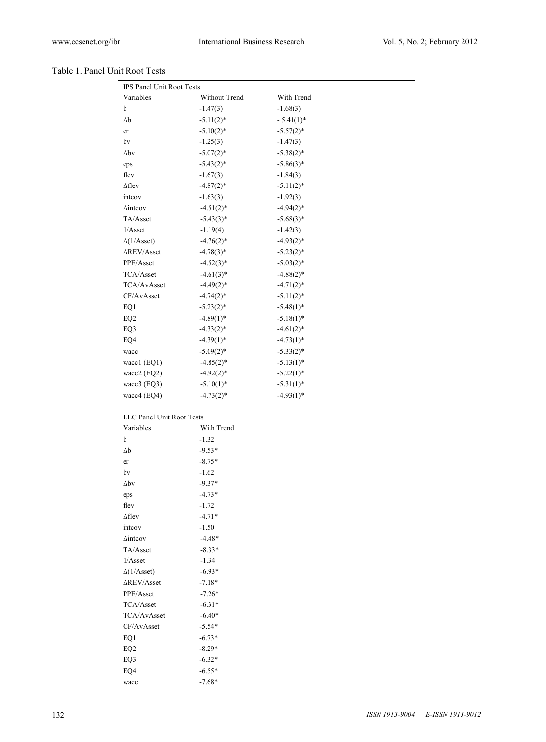## Table 1. Panel Unit Root Tests

| IPS Panel Unit Root Tests               |               |              |  |
|-----------------------------------------|---------------|--------------|--|
| Variables                               | Without Trend | With Trend   |  |
| b                                       | $-1.47(3)$    | $-1.68(3)$   |  |
| $\Delta b$                              | $-5.11(2)$ *  | $-5.41(1)$ * |  |
| er                                      | $-5.10(2)$ *  | $-5.57(2)$ * |  |
| bv                                      | $-1.25(3)$    | $-1.47(3)$   |  |
| $\Delta$ bv                             | $-5.07(2)$ *  | $-5.38(2)$ * |  |
| eps                                     | $-5.43(2)$ *  | $-5.86(3)*$  |  |
| flev                                    | $-1.67(3)$    | $-1.84(3)$   |  |
| $\Delta$ flev                           | $-4.87(2)$ *  | $-5.11(2)$ * |  |
| intcov                                  | $-1.63(3)$    | $-1.92(3)$   |  |
| $\Delta$ intcov                         | $-4.51(2)$ *  | $-4.94(2)$ * |  |
| TA/Asset                                | $-5.43(3)*$   | $-5.68(3)*$  |  |
| $1/A$ sset                              | $-1.19(4)$    | $-1.42(3)$   |  |
| $\Delta(1/A\text{sset})$                | $-4.76(2)$ *  | $-4.93(2)$ * |  |
| $\Delta \text{REV}/\text{A}\text{sset}$ | $-4.78(3)*$   | $-5.23(2)$ * |  |
| PPE/Asset                               | $-4.52(3)*$   | $-5.03(2)$ * |  |
| TCA/Asset                               | $-4.61(3)*$   | $-4.88(2)$ * |  |
| TCA/AvAsset                             | $-4.49(2)$ *  | $-4.71(2)$ * |  |
| CF/AvAsset                              | $-4.74(2)$ *  | $-5.11(2)$ * |  |
| EQ1                                     | $-5.23(2)$ *  | $-5.48(1)$ * |  |
| EQ <sub>2</sub>                         | $-4.89(1)$ *  | $-5.18(1)$ * |  |
| EQ3                                     | $-4.33(2)*$   | $-4.61(2)$ * |  |
| EQ4                                     | $-4.39(1)$ *  | $-4.73(1)$ * |  |
| wacc                                    | $-5.09(2)$ *  | $-5.33(2)*$  |  |
| wacc1 (EQ1)                             | $-4.85(2)$ *  | $-5.13(1)$ * |  |
| wacc2 (EQ2)                             | $-4.92(2)*$   | $-5.22(1)$ * |  |
| wacc3 (EQ3)                             | $-5.10(1)$ *  | $-5.31(1)$ * |  |
| wacc4 (EQ4)                             | $-4.73(2)*$   | $-4.93(1)$ * |  |
| LLC Panel Unit Root Tests               |               |              |  |
| Variables                               | With Trend    |              |  |
| b                                       | $-1.32$       |              |  |
| $\Delta b$                              | $-9.53*$      |              |  |
| $\operatorname{\sf er}$                 | $-8.75*$      |              |  |
| bv                                      | $-1.62$       |              |  |
| $\Delta$ bv                             | $-9.37*$      |              |  |
| eps                                     | $-4.73*$      |              |  |
| flev                                    | $-1.72$       |              |  |
| $\Delta$ flev                           | $-4.71*$      |              |  |
| intcov                                  | $-1.50$       |              |  |
| $\Delta$ intcov                         | $-4.48*$      |              |  |
| TA/Asset                                | $-8.33*$      |              |  |
| $1/A$ sset                              | $-1.34$       |              |  |
| $\Delta(1/A\text{sset})$                | $-6.93*$      |              |  |
| $\Delta$ REV/Asset                      | $-7.18*$      |              |  |
| PPE/Asset                               | $-7.26*$      |              |  |
| TCA/Asset                               | $-6.31*$      |              |  |

TCA/AvAsset -6.40\*  $CF/AvAsset$   $-5.54*$ EQ1  $-6.73*$ EQ2  $-8.29*$ EQ3  $-6.32*$ EQ4  $-6.55*$ wacc  $-7.68*$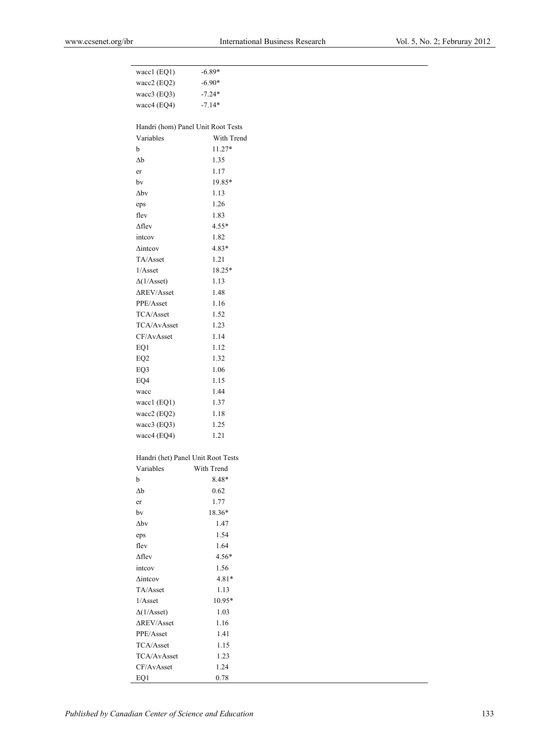| wacc1 (EQ1)                             | $-6.89*$                           |  |
|-----------------------------------------|------------------------------------|--|
| wacc2 (EQ2)                             | $-6.90*$                           |  |
| wacc3 (EQ3)                             | $-7.24*$                           |  |
| wacc4 (EQ4)                             | $-7.14*$                           |  |
|                                         |                                    |  |
|                                         | Handri (hom) Panel Unit Root Tests |  |
| Variables                               | With Trend                         |  |
| b                                       | $11.27*$                           |  |
| Δb                                      | 1.35                               |  |
| er                                      | 1.17                               |  |
| bv                                      | 19.85*                             |  |
| $\Delta$ bv                             | 1.13                               |  |
| eps                                     | 1.26                               |  |
| flev                                    | 1.83                               |  |
| $\Delta$ flev                           | $4.55*$                            |  |
| intcov                                  | 1.82                               |  |
| $\Delta$ intcov                         | $4.83*$                            |  |
| TA/Asset                                | 1.21                               |  |
| $1/A$ sset                              | 18.25*                             |  |
| $\Delta(1/Asset)$                       | 1.13                               |  |
| ∆REV/Asset                              | 1.48                               |  |
| PPE/Asset                               | 1.16                               |  |
| TCA/Asset                               | 1.52                               |  |
| <b>TCA/AvAsset</b>                      | 1.23                               |  |
| CF/AvAsset                              | 1.14                               |  |
| EQ1                                     | 1.12                               |  |
| EQ <sub>2</sub>                         | 1.32                               |  |
| EQ3                                     | 1.06                               |  |
| EQ4                                     | 1.15                               |  |
| wacc                                    | 1.44                               |  |
| wacc1 (EQ1)                             | 1.37                               |  |
| wacc2 (EQ2)                             | 1.18                               |  |
| wacc $3$ (EQ3)                          | 1.25                               |  |
| wacc4 (EQ4)                             | 1.21                               |  |
|                                         |                                    |  |
|                                         | Handri (het) Panel Unit Root Tests |  |
| Variables                               | With Trend                         |  |
| b                                       | 8.48*                              |  |
| $\Delta b$                              | 0.62                               |  |
| er                                      | 1.77                               |  |
| bv                                      | 18.36*                             |  |
| $\Delta$ bv                             | 1.47                               |  |
| eps                                     | 1.54                               |  |
| flev                                    | 1.64                               |  |
| $\Delta$ flev                           | $4.56*$                            |  |
| intcov                                  | 1.56                               |  |
| $\Delta$ intcov                         | $4.81*$                            |  |
| TA/Asset                                | 1.13                               |  |
| $1/A$ sset                              | 10.95*                             |  |
| $\Delta(1/A\text{sset})$                | 1.03                               |  |
| $\Delta \text{REV}/\text{A}\text{sset}$ | 1.16                               |  |
| PPE/Asset                               | 1.41                               |  |
| TCA/Asset                               | 1.15                               |  |
| TCA/AvAsset                             | 1.23                               |  |
| CF/AvAsset                              | 1.24                               |  |
| EQ1                                     | 0.78                               |  |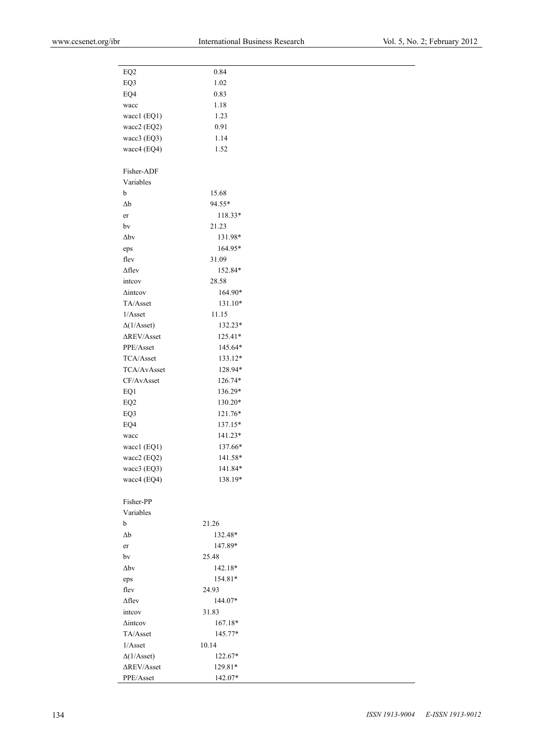| EQ <sub>2</sub>          | 0.84    |  |
|--------------------------|---------|--|
| EQ3                      | 1.02    |  |
| EQ4                      | 0.83    |  |
| wacc                     | 1.18    |  |
| wacc1 (EQ1)              | 1.23    |  |
| wacc2 (EQ2)              | 0.91    |  |
| wacc3 (EQ3)              | 1.14    |  |
| wacc4 (EQ4)              | 1.52    |  |
|                          |         |  |
| Fisher-ADF               |         |  |
| Variables                |         |  |
| b                        | 15.68   |  |
| Δb                       | 94.55*  |  |
| er                       | 118.33* |  |
| bv                       | 21.23   |  |
| $\Delta$ bv              | 131.98* |  |
| eps                      | 164.95* |  |
| flev                     | 31.09   |  |
| $\Delta$ flev            | 152.84* |  |
| intcov                   | 28.58   |  |
| <b>Aintcov</b>           | 164.90* |  |
| TA/Asset                 | 131.10* |  |
| $1/A$ sset               | 11.15   |  |
| $\Delta(1/A\text{sset})$ | 132.23* |  |
| $\Delta$ REV/Asset       | 125.41* |  |
| PPE/Asset                | 145.64* |  |
| TCA/Asset                | 133.12* |  |
| TCA/AvAsset              | 128.94* |  |
| CF/AvAsset               | 126.74* |  |
| EQ1                      | 136.29* |  |
| EQ2                      | 130.20* |  |
| EQ3                      | 121.76* |  |
| EQ4                      | 137.15* |  |
| wacc                     | 141.23* |  |
| wacc1 (EQ1)              | 137.66* |  |
| wacc2 (EQ2)              | 141.58* |  |
| wacc3 (EQ3)              | 141.84* |  |
| wacc4 (EQ4)              | 138.19* |  |
|                          |         |  |
| Fisher-PP                |         |  |
| Variables                |         |  |
| b                        | 21.26   |  |
| $\Delta b$               | 132.48* |  |
| er                       | 147.89* |  |
| bv                       | 25.48   |  |
| $\Delta$ bv              | 142.18* |  |
| eps                      | 154.81* |  |
| flev                     | 24.93   |  |
| $\Delta$ flev            | 144.07* |  |
| intcov                   | 31.83   |  |
| <b>Aintcov</b>           | 167.18* |  |
| TA/Asset                 | 145.77* |  |
| $1/A$ sset               | 10.14   |  |
| $\Delta(1/A\text{sset})$ | 122.67* |  |
| $\Delta$ REV/Asset       | 129.81* |  |
| PPE/Asset                | 142.07* |  |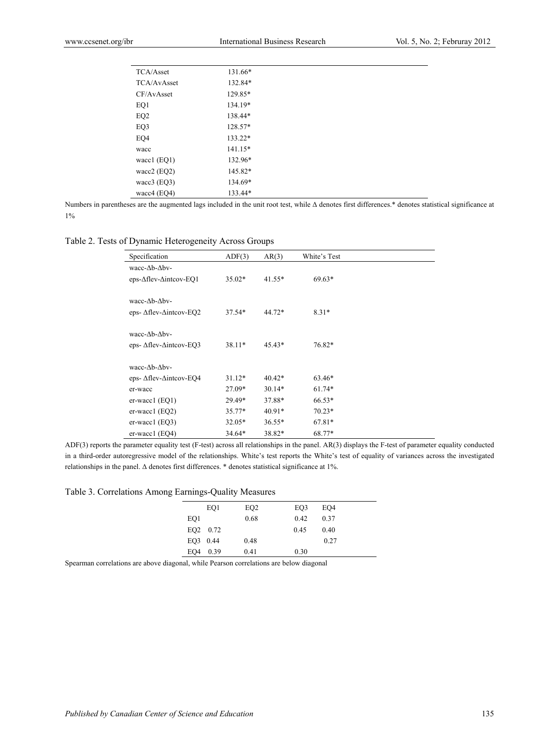| TCA/Asset          | 131.66* |  |
|--------------------|---------|--|
| <b>TCA/AvAsset</b> | 132.84* |  |
| CF/AvAsset         | 129.85* |  |
| EQ1                | 134.19* |  |
| EQ <sub>2</sub>    | 138.44* |  |
| EQ3                | 128.57* |  |
| EQ4                | 133.22* |  |
| wacc               | 141.15* |  |
| waccl $(EQ1)$      | 132.96* |  |
| wacc2 $(EQ2)$      | 145.82* |  |
| wacc3 $(EQ3)$      | 134.69* |  |
| wacc4 (EQ4)        | 133.44* |  |

Numbers in parentheses are the augmented lags included in the unit root test, while Δ denotes first differences.\* denotes statistical significance at 1%

Table 2. Tests of Dynamic Heterogeneity Across Groups

| Specification                           | ADF(3)   | AR(3)    | White's Test |  |
|-----------------------------------------|----------|----------|--------------|--|
| wacc- $\Delta b$ - $\Delta bv$ -        |          |          |              |  |
| eps- $\Delta$ flev- $\Delta$ intcov-EQ1 | $35.02*$ | $41.55*$ | $69.63*$     |  |
| wacc- $\Delta b$ - $\Delta bv$ -        |          |          |              |  |
| eps- $\Delta$ flev- $\Delta$ intcov-EQ2 | $37.54*$ | 44.72*   | $8.31*$      |  |
| wacc- $\Delta b$ - $\Delta bv$ -        |          |          |              |  |
| eps- $\Delta$ flev- $\Delta$ intcov-EQ3 | $38.11*$ | $45.43*$ | 76.82*       |  |
| wacc- $\Delta b$ - $\Delta bv$ -        |          |          |              |  |
| eps- ∆flev-∆intcov-EQ4                  | $31.12*$ | $40.42*$ | 63.46*       |  |
| er-wacc                                 | 27.09*   | $30.14*$ | $61.74*$     |  |
| $er-wacc1 (EQ1)$                        | 29.49*   | 37.88*   | $66.53*$     |  |
| $er-wacc1$ (EQ2)                        | $35.77*$ | $40.91*$ | $70.23*$     |  |
| $er-wacc1$ (EQ3)                        | $32.05*$ | $36.55*$ | $67.81*$     |  |
| $er-wacc1$ (EQ4)                        | 34.64*   | 38.82*   | 68.77*       |  |

ADF(3) reports the parameter equality test (F-test) across all relationships in the panel. AR(3) displays the F-test of parameter equality conducted in a third-order autoregressive model of the relationships. White's test reports the White's test of equality of variances across the investigated relationships in the panel. Δ denotes first differences. \* denotes statistical significance at 1%.

# Table 3. Correlations Among Earnings-Quality Measures

| EO1      | EO <sub>2</sub> | EO3  | EO <sub>4</sub> |  |
|----------|-----------------|------|-----------------|--|
| EO1      | 0.68            | 0.42 | 0.37            |  |
| EO2 0.72 |                 | 0.45 | 0.40            |  |
| EO3 0.44 | 0.48            |      | 0.27            |  |
| EQ4 0.39 | 0.41            | 0.30 |                 |  |
| .        |                 | .    |                 |  |

Spearman correlations are above diagonal, while Pearson correlations are below diagonal